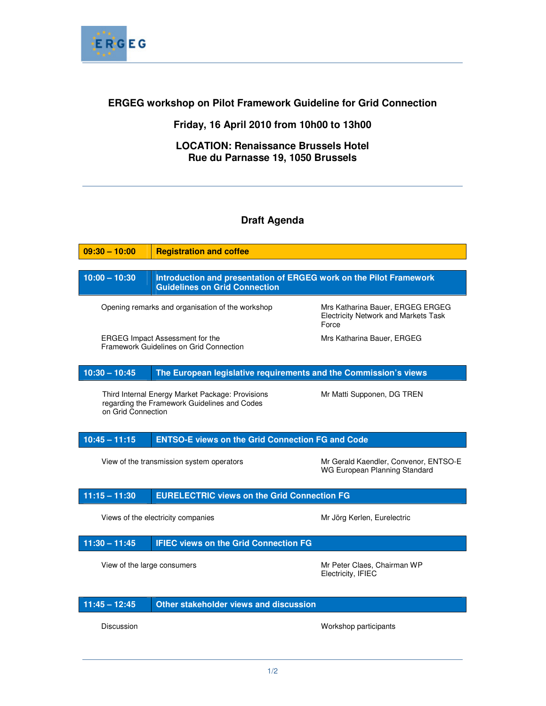

## **ERGEG workshop on Pilot Framework Guideline for Grid Connection**

## **Friday, 16 April 2010 from 10h00 to 13h00**

## **LOCATION: Renaissance Brussels Hotel Rue du Parnasse 19, 1050 Brussels**

## **Draft Agenda**

| $09:30 - 10:00$                                                                                                                                      | <b>Registration and coffee</b>                                                                             |                                                                                          |
|------------------------------------------------------------------------------------------------------------------------------------------------------|------------------------------------------------------------------------------------------------------------|------------------------------------------------------------------------------------------|
|                                                                                                                                                      |                                                                                                            |                                                                                          |
| $10:00 - 10:30$                                                                                                                                      | Introduction and presentation of ERGEG work on the Pilot Framework<br><b>Guidelines on Grid Connection</b> |                                                                                          |
| Opening remarks and organisation of the workshop                                                                                                     |                                                                                                            | Mrs Katharina Bauer, ERGEG ERGEG<br><b>Electricity Network and Markets Task</b><br>Force |
| Mrs Katharina Bauer, ERGEG<br><b>ERGEG Impact Assessment for the</b><br>Framework Guidelines on Grid Connection                                      |                                                                                                            |                                                                                          |
| $10:30 - 10:45$                                                                                                                                      | The European legislative requirements and the Commission's views                                           |                                                                                          |
| Third Internal Energy Market Package: Provisions<br>Mr Matti Supponen, DG TREN<br>regarding the Framework Guidelines and Codes<br>on Grid Connection |                                                                                                            |                                                                                          |
| $10:45 - 11:15$                                                                                                                                      | <b>ENTSO-E views on the Grid Connection FG and Code</b>                                                    |                                                                                          |
| View of the transmission system operators                                                                                                            |                                                                                                            | Mr Gerald Kaendler, Convenor, ENTSO-E<br>WG European Planning Standard                   |
| $11:15 - 11:30$                                                                                                                                      | <b>EURELECTRIC views on the Grid Connection FG</b>                                                         |                                                                                          |
| Views of the electricity companies<br>Mr Jörg Kerlen, Eurelectric                                                                                    |                                                                                                            |                                                                                          |
| $11:30 - 11:45$                                                                                                                                      | <b>IFIEC views on the Grid Connection FG</b>                                                               |                                                                                          |
| View of the large consumers                                                                                                                          |                                                                                                            | Mr Peter Claes, Chairman WP<br>Electricity, IFIEC                                        |
| $11:45 - 12:45$                                                                                                                                      | Other stakeholder views and discussion                                                                     |                                                                                          |
| Discussion                                                                                                                                           |                                                                                                            | Workshop participants                                                                    |